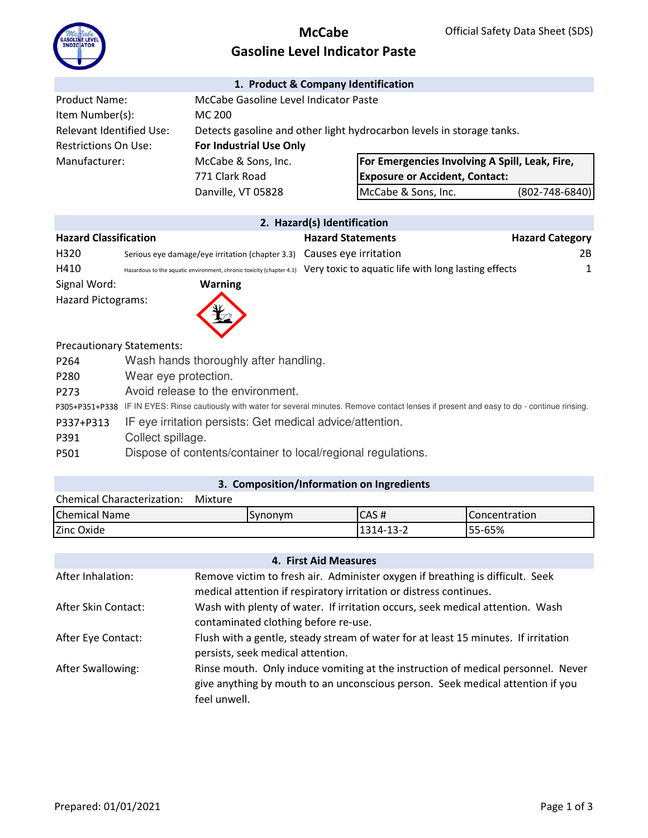

## **McCabe Gasoline Level Indicator Paste**

#### **1. Product & Company Identification**

| <b>Product Name:</b>     | McCabe Gasoline Level Indicator Paste |                                                                       |                |
|--------------------------|---------------------------------------|-----------------------------------------------------------------------|----------------|
| Item Number(s):          | MC 200                                |                                                                       |                |
| Relevant Identified Use: |                                       | Detects gasoline and other light hydrocarbon levels in storage tanks. |                |
| Restrictions On Use:     | <b>For Industrial Use Only</b>        |                                                                       |                |
| Manufacturer:            | McCabe & Sons, Inc.                   | <b>For Emergencies Involving A Spill, Leak, Fire,</b>                 |                |
|                          | 771 Clark Road                        | <b>Exposure or Accident, Contact:</b>                                 |                |
|                          | Danville, VT 05828                    | McCabe & Sons, Inc.                                                   | (802-748-6840) |

| $\bullet$ . The construction of the contract of the contract of the contract of the contract of the contract of the contract of the contract of the contract of the contract of the contract of the contract of the contract of th |  |
|------------------------------------------------------------------------------------------------------------------------------------------------------------------------------------------------------------------------------------|--|
|                                                                                                                                                                                                                                    |  |
|                                                                                                                                                                                                                                    |  |

|                              |                                                                       | <b>Z. Hazard(s) Identification</b>                   |                        |
|------------------------------|-----------------------------------------------------------------------|------------------------------------------------------|------------------------|
| <b>Hazard Classification</b> |                                                                       | <b>Hazard Statements</b>                             | <b>Hazard Category</b> |
| H320                         | Serious eye damage/eye irritation (chapter 3.3) Causes eye irritation |                                                      | 2B                     |
| H410                         | Hazardous to the aquatic environment, chronic toxicity (chapter 4.1)  | Very toxic to aquatic life with long lasting effects |                        |
| Signal Word:                 | <b>Warning</b>                                                        |                                                      |                        |
| <b>Hazard Pictograms:</b>    | Œ                                                                     |                                                      |                        |

Precautionary Statements:

| P <sub>264</sub> | Wash hands thoroughly after handling.                                                                                                           |
|------------------|-------------------------------------------------------------------------------------------------------------------------------------------------|
| P280             | Wear eye protection.                                                                                                                            |
| P <sub>273</sub> | Avoid release to the environment.                                                                                                               |
|                  | P305+P351+P338 IF IN EYES: Rinse cautiously with water for several minutes. Remove contact lenses if present and easy to do - continue rinsing. |
| P337+P313        | IF eye irritation persists: Get medical advice/attention.                                                                                       |
| P391             | Collect spillage.                                                                                                                               |
| P501             | Dispose of contents/container to local/regional regulations.                                                                                    |
|                  |                                                                                                                                                 |

### **3. Composition/Information on Ingredients**

| <b>Chemical Characterization:</b> | Mixture |           |                      |
|-----------------------------------|---------|-----------|----------------------|
| <b>Chemical Name</b>              | Synonym | ICAS#     | <b>Concentration</b> |
| Zinc Oxide                        |         | 1314-13-2 | 55-65%               |

| 4. First Aid Measures    |                                                                                                                                                                                    |  |  |  |  |
|--------------------------|------------------------------------------------------------------------------------------------------------------------------------------------------------------------------------|--|--|--|--|
| After Inhalation:        | Remove victim to fresh air. Administer oxygen if breathing is difficult. Seek<br>medical attention if respiratory irritation or distress continues.                                |  |  |  |  |
| After Skin Contact:      | Wash with plenty of water. If irritation occurs, seek medical attention. Wash<br>contaminated clothing before re-use.                                                              |  |  |  |  |
| After Eye Contact:       | Flush with a gentle, steady stream of water for at least 15 minutes. If irritation<br>persists, seek medical attention.                                                            |  |  |  |  |
| <b>After Swallowing:</b> | Rinse mouth. Only induce vomiting at the instruction of medical personnel. Never<br>give anything by mouth to an unconscious person. Seek medical attention if you<br>feel unwell. |  |  |  |  |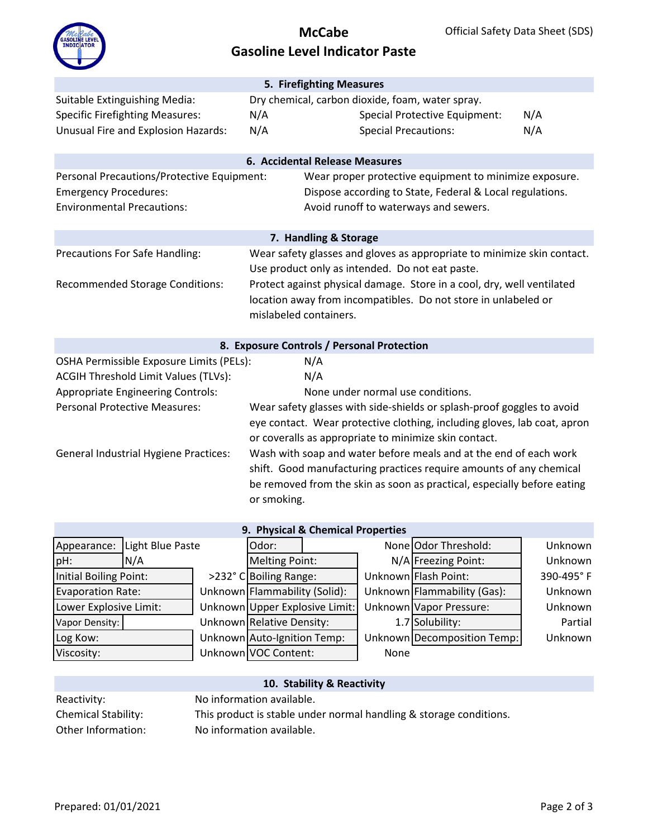

# **McCabe Gasoline Level Indicator Paste**

|                                              | 5. Firefighting Measures                                                |                                                                          |     |  |  |
|----------------------------------------------|-------------------------------------------------------------------------|--------------------------------------------------------------------------|-----|--|--|
| Suitable Extinguishing Media:                |                                                                         | Dry chemical, carbon dioxide, foam, water spray.                         |     |  |  |
| <b>Specific Firefighting Measures:</b>       | N/A                                                                     | <b>Special Protective Equipment:</b>                                     | N/A |  |  |
| Unusual Fire and Explosion Hazards:          | N/A                                                                     | <b>Special Precautions:</b>                                              | N/A |  |  |
|                                              |                                                                         |                                                                          |     |  |  |
|                                              | 6. Accidental Release Measures                                          |                                                                          |     |  |  |
| Personal Precautions/Protective Equipment:   |                                                                         | Wear proper protective equipment to minimize exposure.                   |     |  |  |
| <b>Emergency Procedures:</b>                 |                                                                         | Dispose according to State, Federal & Local regulations.                 |     |  |  |
| <b>Environmental Precautions:</b>            |                                                                         | Avoid runoff to waterways and sewers.                                    |     |  |  |
|                                              |                                                                         |                                                                          |     |  |  |
|                                              | 7. Handling & Storage                                                   |                                                                          |     |  |  |
| Precautions For Safe Handling:               | Wear safety glasses and gloves as appropriate to minimize skin contact. |                                                                          |     |  |  |
|                                              |                                                                         | Use product only as intended. Do not eat paste.                          |     |  |  |
| <b>Recommended Storage Conditions:</b>       |                                                                         | Protect against physical damage. Store in a cool, dry, well ventilated   |     |  |  |
|                                              |                                                                         | location away from incompatibles. Do not store in unlabeled or           |     |  |  |
|                                              | mislabeled containers.                                                  |                                                                          |     |  |  |
|                                              |                                                                         |                                                                          |     |  |  |
|                                              | 8. Exposure Controls / Personal Protection                              |                                                                          |     |  |  |
| OSHA Permissible Exposure Limits (PELs):     | N/A                                                                     |                                                                          |     |  |  |
| <b>ACGIH Threshold Limit Values (TLVs):</b>  | N/A                                                                     |                                                                          |     |  |  |
| <b>Appropriate Engineering Controls:</b>     |                                                                         | None under normal use conditions.                                        |     |  |  |
| <b>Personal Protective Measures:</b>         |                                                                         | Wear safety glasses with side-shields or splash-proof goggles to avoid   |     |  |  |
|                                              |                                                                         | eye contact. Wear protective clothing, including gloves, lab coat, apron |     |  |  |
|                                              |                                                                         | or coveralls as appropriate to minimize skin contact.                    |     |  |  |
| <b>General Industrial Hygiene Practices:</b> |                                                                         | Wash with soap and water before meals and at the end of each work        |     |  |  |
|                                              |                                                                         | shift. Good manufacturing practices require amounts of any chemical      |     |  |  |
|                                              |                                                                         | be removed from the skin as soon as practical, especially before eating  |     |  |  |
|                                              | or smoking.                                                             |                                                                          |     |  |  |
|                                              |                                                                         |                                                                          |     |  |  |
| 9. Physical & Chemical Properties            |                                                                         |                                                                          |     |  |  |

| 9. Physical & Chemical Properties |     |                               |                             |                                |                             |                             |           |
|-----------------------------------|-----|-------------------------------|-----------------------------|--------------------------------|-----------------------------|-----------------------------|-----------|
| Light Blue Paste<br>Appearance:   |     | Odor:                         |                             |                                | None Odor Threshold:        | Unknown                     |           |
| pH:                               | N/A |                               | <b>Melting Point:</b>       |                                |                             | N/A Freezing Point:         | Unknown   |
| Initial Boiling Point:            |     |                               | >232° C Boiling Range:      |                                |                             | Unknown Flash Point:        | 390-495°F |
| <b>Evaporation Rate:</b>          |     | Unknown Flammability (Solid): |                             |                                | Unknown Flammability (Gas): | Unknown                     |           |
| Lower Explosive Limit:            |     |                               |                             | Unknown Upper Explosive Limit: |                             | Unknown Vapor Pressure:     | Unknown   |
| Vapor Density:                    |     |                               | Unknown Relative Density:   |                                |                             | 1.7 Solubility:             | Partial   |
| Log Kow:                          |     |                               | Unknown Auto-Ignition Temp: |                                |                             | Unknown Decomposition Temp: | Unknown   |
| Viscosity:                        |     |                               | Unknown VOC Content:        |                                | None                        |                             |           |

|                     | 10. Stability & Reactivity                                         |
|---------------------|--------------------------------------------------------------------|
| Reactivity:         | No information available.                                          |
| Chemical Stability: | This product is stable under normal handling & storage conditions. |
| Other Information:  | No information available.                                          |